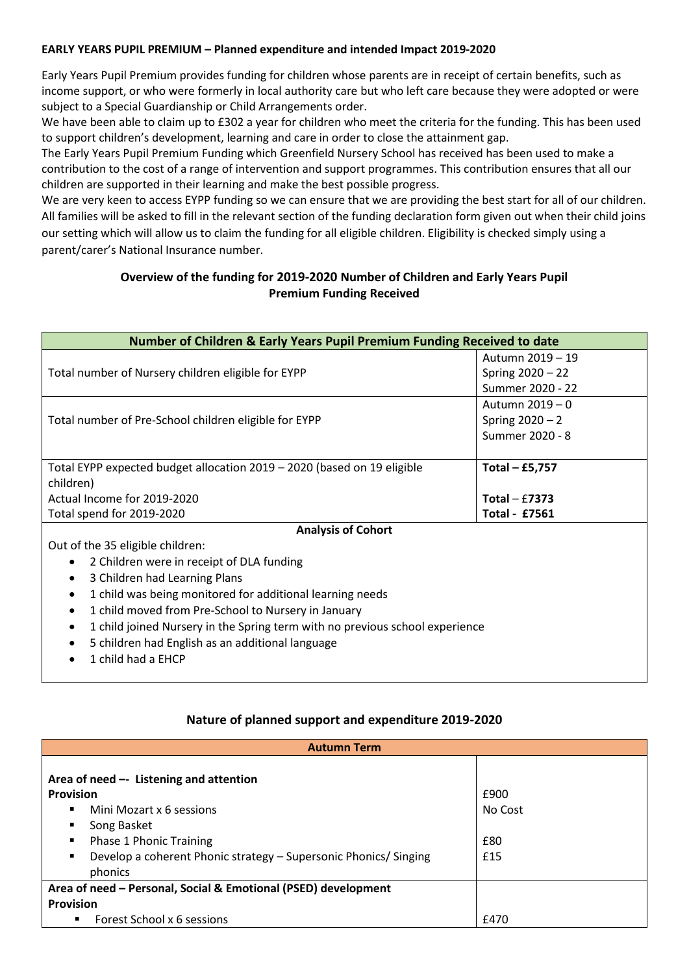### **EARLY YEARS PUPIL PREMIUM – Planned expenditure and intended Impact 2019-2020**

Early Years Pupil Premium provides funding for children whose parents are in receipt of certain benefits, such as income support, or who were formerly in local authority care but who left care because they were adopted or were subject to a Special Guardianship or Child Arrangements order.

We have been able to claim up to £302 a year for children who meet the criteria for the funding. This has been used to support children's development, learning and care in order to close the attainment gap.

The Early Years Pupil Premium Funding which Greenfield Nursery School has received has been used to make a contribution to the cost of a range of intervention and support programmes. This contribution ensures that all our children are supported in their learning and make the best possible progress.

We are very keen to access EYPP funding so we can ensure that we are providing the best start for all of our children. All families will be asked to fill in the relevant section of the funding declaration form given out when their child joins our setting which will allow us to claim the funding for all eligible children. Eligibility is checked simply using a parent/carer's National Insurance number.

## **Overview of the funding for 2019-2020 Number of Children and Early Years Pupil Premium Funding Received**

| <b>Number of Children &amp; Early Years Pupil Premium Funding Received to date</b> |                      |  |
|------------------------------------------------------------------------------------|----------------------|--|
|                                                                                    | Autumn 2019 - 19     |  |
| Total number of Nursery children eligible for EYPP                                 | Spring 2020 - 22     |  |
|                                                                                    | Summer 2020 - 22     |  |
| Total number of Pre-School children eligible for EYPP                              | Autumn 2019 - 0      |  |
|                                                                                    | Spring $2020 - 2$    |  |
|                                                                                    | Summer 2020 - 8      |  |
|                                                                                    |                      |  |
| Total EYPP expected budget allocation 2019 - 2020 (based on 19 eligible            | Total $-$ £5,757     |  |
| children)                                                                          |                      |  |
| Actual Income for 2019-2020                                                        | Total $-$ £7373      |  |
| Total spend for 2019-2020                                                          | <b>Total - £7561</b> |  |
| <b>Analysis of Cohort</b>                                                          |                      |  |
| Out of the 35 eligible children:                                                   |                      |  |
| 2 Children were in receipt of DLA funding<br>$\bullet$                             |                      |  |
| 3 Children had Learning Plans<br>٠                                                 |                      |  |
| 1 child was being monitored for additional learning needs<br>٠                     |                      |  |
| 1 child moved from Pre-School to Nursery in January<br>$\bullet$                   |                      |  |
| 1 child joined Nursery in the Spring term with no previous school experience<br>٠  |                      |  |
| 5 children had English as an additional language                                   |                      |  |
|                                                                                    |                      |  |

1 child had a EHCP

### **Nature of planned support and expenditure 2019-2020**

| <b>Autumn Term</b>                                                                                                                                                                                                                    |                               |  |
|---------------------------------------------------------------------------------------------------------------------------------------------------------------------------------------------------------------------------------------|-------------------------------|--|
| Area of need $-$ Listening and attention<br><b>Provision</b><br>Mini Mozart x 6 sessions<br>٠<br>Song Basket<br>٠<br>Phase 1 Phonic Training<br>п<br>Develop a coherent Phonic strategy – Supersonic Phonics/ Singing<br>п<br>phonics | £900<br>No Cost<br>£80<br>£15 |  |
| Area of need - Personal, Social & Emotional (PSED) development                                                                                                                                                                        |                               |  |
| <b>Provision</b>                                                                                                                                                                                                                      |                               |  |
| Forest School x 6 sessions<br>٠                                                                                                                                                                                                       | £470                          |  |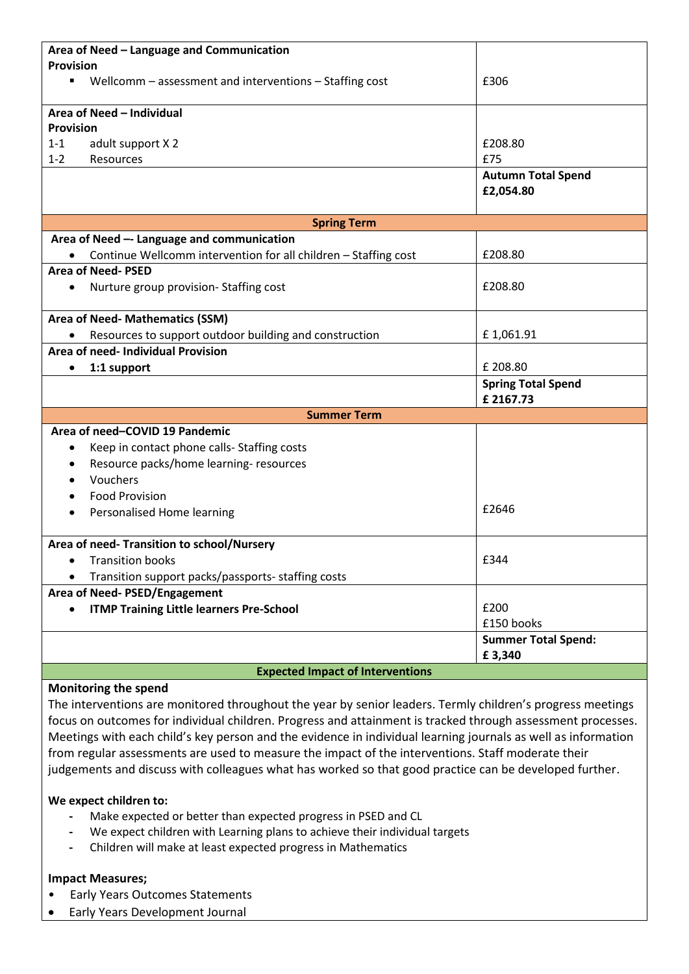| Area of Need - Language and Communication                                 |                                       |  |
|---------------------------------------------------------------------------|---------------------------------------|--|
| <b>Provision</b>                                                          |                                       |  |
| Wellcomm - assessment and interventions - Staffing cost<br>$\blacksquare$ | £306                                  |  |
| Area of Need - Individual                                                 |                                       |  |
| <b>Provision</b>                                                          |                                       |  |
| adult support X 2<br>$1 - 1$                                              | £208.80                               |  |
| $1 - 2$<br>Resources                                                      | £75                                   |  |
|                                                                           | <b>Autumn Total Spend</b>             |  |
|                                                                           | £2,054.80                             |  |
|                                                                           |                                       |  |
| <b>Spring Term</b>                                                        |                                       |  |
| Area of Need -- Language and communication                                |                                       |  |
| Continue Wellcomm intervention for all children - Staffing cost           | £208.80                               |  |
| <b>Area of Need-PSED</b>                                                  |                                       |  |
| Nurture group provision-Staffing cost<br>$\bullet$                        | £208.80                               |  |
|                                                                           |                                       |  |
| Area of Need- Mathematics (SSM)                                           |                                       |  |
| Resources to support outdoor building and construction                    | £1,061.91                             |  |
| Area of need- Individual Provision                                        |                                       |  |
| 1:1 support<br>$\bullet$                                                  | £ 208.80                              |  |
|                                                                           | <b>Spring Total Spend</b><br>£2167.73 |  |
| <b>Summer Term</b>                                                        |                                       |  |
| Area of need-COVID 19 Pandemic                                            |                                       |  |
| Keep in contact phone calls- Staffing costs                               |                                       |  |
| Resource packs/home learning-resources                                    |                                       |  |
| Vouchers                                                                  |                                       |  |
| <b>Food Provision</b>                                                     |                                       |  |
| Personalised Home learning                                                | £2646                                 |  |
|                                                                           |                                       |  |
| Area of need- Transition to school/Nursery                                |                                       |  |
| <b>Transition books</b>                                                   | £344                                  |  |
| Transition support packs/passports- staffing costs                        |                                       |  |
| Area of Need- PSED/Engagement                                             |                                       |  |
| <b>ITMP Training Little learners Pre-School</b>                           | £200                                  |  |
|                                                                           | £150 books                            |  |
|                                                                           | <b>Summer Total Spend:</b>            |  |
|                                                                           | £3,340                                |  |
| <b>Expected Impact of Interventions</b>                                   |                                       |  |

#### **Monitoring the spend**

The interventions are monitored throughout the year by senior leaders. Termly children's progress meetings focus on outcomes for individual children. Progress and attainment is tracked through assessment processes. Meetings with each child's key person and the evidence in individual learning journals as well as information from regular assessments are used to measure the impact of the interventions. Staff moderate their judgements and discuss with colleagues what has worked so that good practice can be developed further.

#### **We expect children to:**

- **-** Make expected or better than expected progress in PSED and CL
- **-** We expect children with Learning plans to achieve their individual targets
- **-** Children will make at least expected progress in Mathematics

#### **Impact Measures;**

- Early Years Outcomes Statements
- Early Years Development Journal